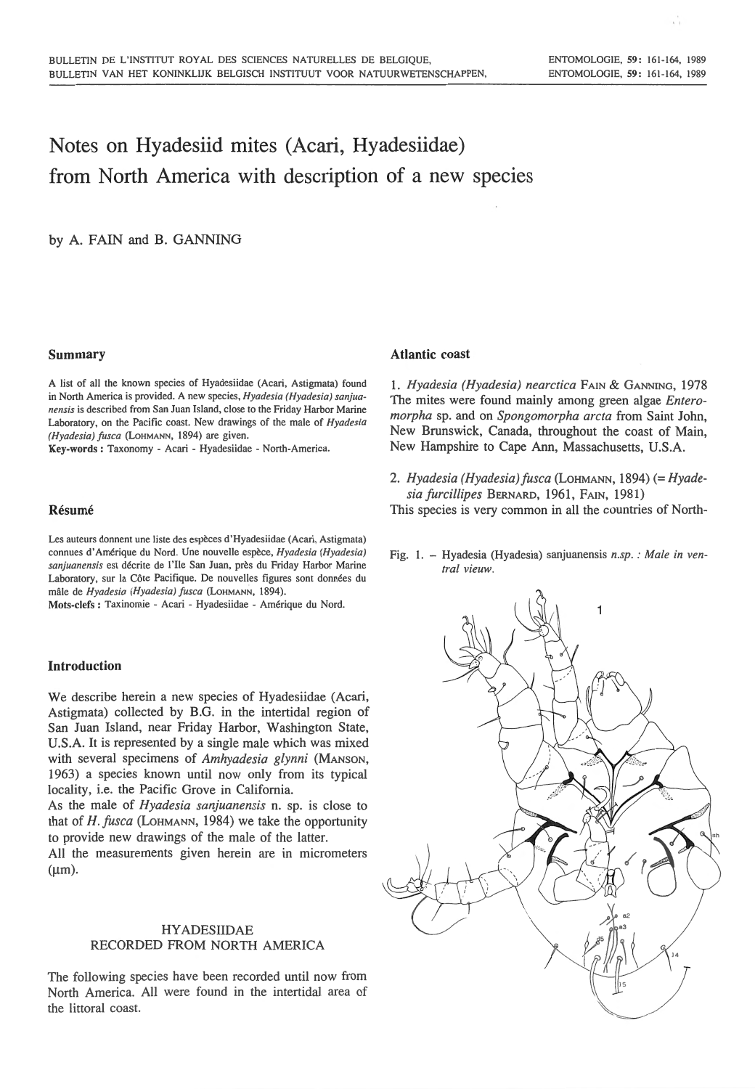i.

# Notes on Hyadesiid mites (Acari, Hyadesiidae) from North America with description of a new species

by A. FAIN and B. GANNING

## Summary

A list of all the known species of Hyadesiidae (Acari, Astigmata) found in North America is provided. A new species, *Hyadesia (Hyadesia) sanjuanensis* is described from San Juan Island, close to the Friday Harbor Marine Laboratory, on the Pacific coast. New drawings of the male of *Hyadesia (Hyadesia) fusca* (LoHMANN, 1894) are given.

Key-words : Taxonomy - Acari - Hyadesiidae - North-America.

# Résumé

Les auteurs donnent une liste des espèces d'Hyadesiidae (Acari, Astigmata) connues d 'Amerique du Nord. Une nouvelle espece, *Hyadesia (Hyadesia) sanjuanensis* est decrite de l'Ile San Juan, pres du Friday Harbor Marine Laboratory, sur la Côte Pacifique. De nouvelles figures sont données du male de *Hyadesia (Hyadesia) fusca* (LOHMANN, 1894).

Mots-clefs : Taxinomie - Acari - Hyadesiidae - Amerique du Nord.

# Introduction

We describe herein a new species of Hyadesiidae (Acari, Astigmata) collected by B.G. in the intertidal region of San Juan Island, near Friday Harbor, Washington State, U.S.A. It is represented by a single male which was mixed with several specimens of *Amhyadesia glynni* (MANSON, 1963) a species known until now only from its typical locality, i.e. the Pacific Grove in California.

As the male of *Hyadesia sanjuanensis* n. sp. is close to that of *H. fusca* (LOHMANN, 1984) we take the opportunity to provide new drawings of the male of the latter.

All the measurements given herein are in micrometers  $(\mu m)$ .

# HY ADESIIDAE RECORDED FROM NORTH AMERICA

The following species have been recorded until now from North America. All were found in the intertidal area of the littoral coast.

## Atlantic coast

1. *Hyadesia (Hyadesia) nearctica* FAIN & GANNING, 1978 The mites were found mainly among green algae *Enteromorpha* sp. and on *Spongomorpha arcta* from Saint John, New Brunswick, Canada, throughout the coast of Main, New Hampshire to Cape Ann, Massachusetts, U.S.A.

2. *Hyadesia (Hyadesia)fusca* (LoHMANN, 1894) (= *Hyadesia furcillipes* BERNARD, 1961, FAIN, 1981)

This species is very common in all the countries of North-

Fig. I. - Hyadesia (Hyadesia) sanjuanensis *n.sp. : Male in ventral vieuw.* 

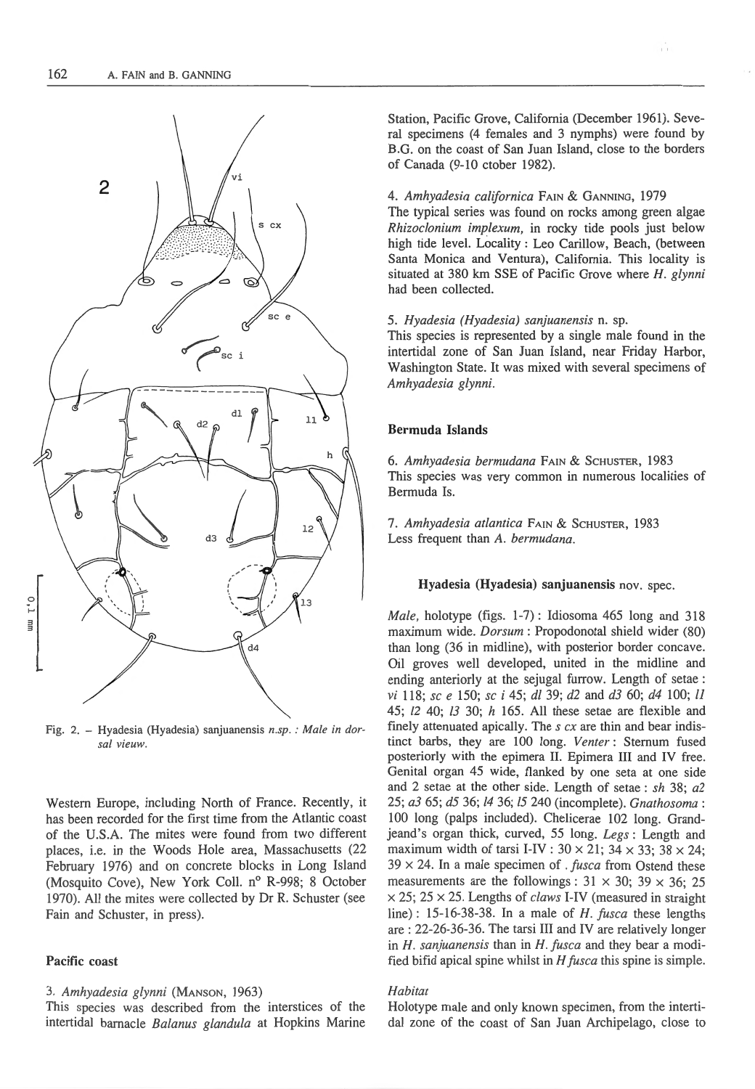

Fig. 2. - Hyadesia (Hyadesia) sanjuanensis *n.sp. : Male in dorsal vieuw.* 

Western Europe, including North of France. Recently, it has been recorded for the first time from the Atlantic coast of the U.S.A. The mites were found from two different places, i.e. in the Woods Hole area, Massachusetts (22 February 1976) and on concrete blocks in Long Island (Mosquito Cove), New York Coll. nº R-998; 8 October 1970). All the mites were collected by Dr R. Schuster (see Fain and Schuster, in press).

# Pacific coast

### 3. *Amhyadesia glynni* (MANSON, 1963)

This species was described from the interstices of the intertidal barnacle *Balanus glandula* at Hopkins Marine Station, Pacific Grove, California (December 1961). Several specimens (4 females and 3 nymphs) were found by B.G. on the coast of San Juan Island, close to the borders of Canada (9-10 ctober 1982).

''

#### 4. *Amhyadesia californica* FAIN & GANNING, 1979

The typical series was found on rocks among green algae *Rhizoclonium implexum,* in rocky tide pools just below high tide level. Locality : Leo Carillow, Beach, (between Santa Monica and Ventura), California. This locality is situated at 380 km SSE of Pacific Grove where *H. glynni*  had been collected.

## 5. *Hyadesia (Hyadesia) sanjuanensis* n. sp.

This species is represented by a single male found in the intertidal zone of San Juan Island, near Friday Harbor, Washington State. It was mixed with several specimens of *Amhyadesia glynni.* 

# Bermuda Islands

6. *Amhyadesia bermudana* FAIN & ScHUSTER, 1983 This species was very common in numerous localities of Bermuda Is.

7. *Amhyadesia atlantica* FAIN & ScHUSTER, 1983 Less frequent than *A. bermudana.* 

## Hyadesia (Hyadesia) sanjuanensis nov. spec.

*Male,* holotype (figs. 1-7) : Idiosoma 465 long and 318 maximum wide. *Dorsum* : Propodonotal shield wider (80) than long (36 in midline), with posterior border concave. Oil groves well developed, united in the midline and ending anteriorly at the sejugal furrow. Length of setae: *vi* 118; *sc e* 150; *sc i* 45; *dl* 39; *d2* and *d3* 60; *d4* 100; *l1*  45; *12* 40; *13* 30; h 165. All these setae are flexible and finely attenuated apically. The  $s$   $cx$  are thin and bear indistinct barbs, they are 100 long. *Venter:* Sternum fused posteriorly with the epimera II. Epimera Ill and IV free. Genital organ 45 wide, flanked by one seta at one side and 2 setae at the other side. Length of setae : *sh* 38; *a2*  25; *a3* 65; *d5* 36; *14* 36; *!5* 240 (incomplete). *Gnathosoma:*  100 long (palps included). Chelicerae 102 long. Grandjeand's organ thick, curved, 55 long. *Legs :* Length and maximum width of tarsi I-IV:  $30 \times 21$ ;  $34 \times 33$ ;  $38 \times 24$ ; 39 x 24. In a male specimen of . *fusca* from Ostend these measurements are the followings :  $31 \times 30$ ;  $39 \times 36$ ; 25 x 25; 25 x 25. Lengths of *claws* I-IV (measured in straight line) : 15-16-38-38. In a male of *H. fusca* these lengths are : 22-26-36-36. The tarsi III and IV are relatively longer in *H. sanjuanensis* than in *H. fusca* and they bear a modified bifid apical spine whilst in  $H$  fusca this spine is simple.

# *Habitat*

Holotype male and only known specimen, from the intertidal zone of the coast of San Juan Archipelago, close to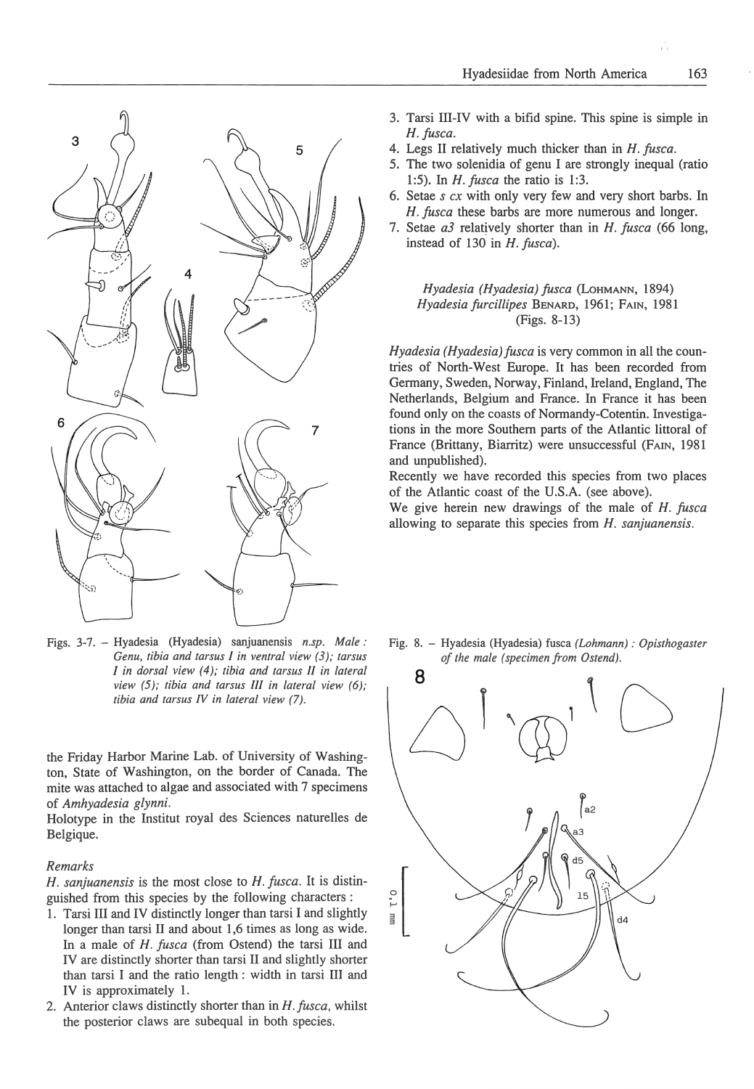

Figs. 3-7. - Hyadesia (Hyadesia) sanjuanensis *n.sp. Male: Genu, tibia and tarsus I in ventral view (3); tarsus I in dorsal view (4 ); tibia and tarsus II in lateral view (5 ); tibia and tarsus II/ in lateral view (6); tibia and tarsus IV in lateral view (7).* 

the Friday Harbor Marine Lab. of University of Washington, State of Washington, on the border of Canada. The mite was attached to algae and associated with 7 specimens of *Amhyadesia glynni.* 

Holotype in the Institut royal des Sciences naturelles de Belgique.

## *Remarks*

*H. sanjuanensis* is the most close to *H. fusca.* It is distinguished from this species by the following characters :

- 1. Tarsi III and IV distinctly longer than tarsi I and slightly longer than tarsi II and about 1,6 times as long as wide. In a male of *H. fusca* (from Ostend) the tarsi III and IV are distinctly shorter than tarsi II and slightly shorter than tarsi I and the ratio length : width in tarsi III and IV is approximately 1.
- 2. Anterior claws distinctly shorter than in *H. fusca*, whilst the posterior claws are subequal in both species.
- 3. Tarsi III-IV with a bifid spine. This spine is simple in *H. fusca .*
- 4. Legs II relatively much thicker than in *H. fusca.*
- 5. The two solenidia of genu I are strongly inequal (ratio 1:5). In *H. fusca* the ratio is 1:3.
- 6. Setae *s ex* with only very few and very short barbs. In *H. fusca* these barbs are more numerous and longer.
- 7. Setae *a3* relatively shorter than in *H. fusca* (66 long, instead of 130 in *H. fusca).*

# *Hyadesia (Hyadesia) fusca* (LoHMANN, 1894) *Hyadesia furcillipes* BENARD, 1961; FAIN, 1981 (Figs. 8-13)

*Hyadesia (Hyadesia)fusca* is very common in all the countries of North-West Europe. It has been recorded from Germany, Sweden, Norway, Finland, Ireland, England, The Netherlands, Belgium and France. In France it has been found only on the coasts of Normandy-Cotentin. Investigations in the more Southern parts of the Atlantic littoral of France (Brittany, Biarritz) were unsuccessful (FAIN, 1981 and unpublished).

Recently we have recorded this species from two places of the Atlantic coast of the U.S.A. (see above).

We give herein new drawings of the male of *H. fusca*  allowing to separate this species from *H. sanjuanensis.* 

Fig. 8. - Hyadesia (Hyadesia) fusca *(Lohmann) : Opisthogaster of the male (specimen from Ostend).* 



''